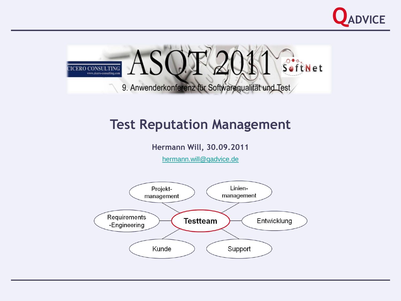



## **Test Reputation Management**

**Hermann Will, 30.09.2011**

[hermann.will@qadvice.de](mailto:hermann.will@qadvice.de)

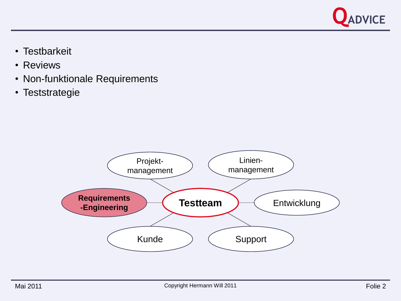

- Testbarkeit
- Reviews
- Non-funktionale Requirements
- Teststrategie

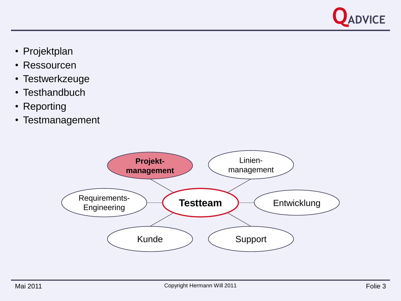

- Projektplan
- Ressourcen
- Testwerkzeuge
- Testhandbuch
- Reporting
- Testmanagement

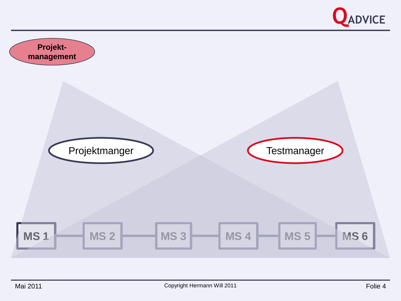

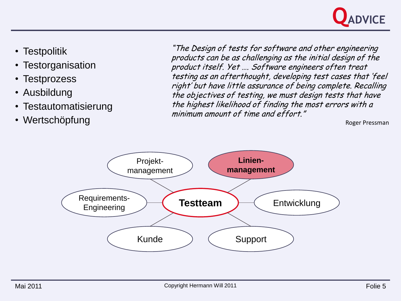

- Testpolitik
- Testorganisation
- Testprozess
- Ausbildung
- Testautomatisierung
- Wertschöpfung

"The Design of tests for software and other engineering products can be as challenging as the initial design of the product itself. Yet …. Software engineers often treat testing as an afterthought, developing test cases that 'feel right' but have little assurance of being complete. Recalling the objectives of testing, we must design tests that have the highest likelihood of finding the most errors with a minimum amount of time and effort."

Roger Pressman

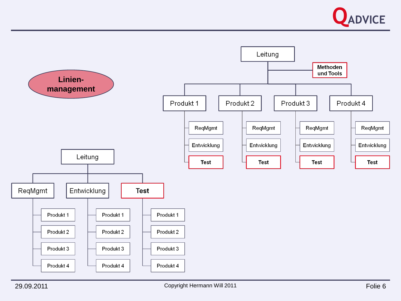

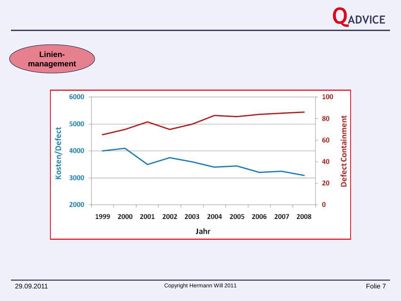

**Linienmanagement**

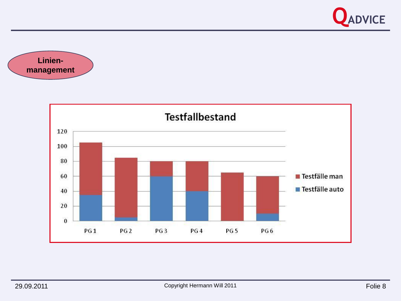



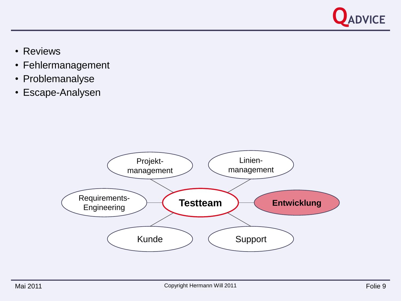

- Reviews
- Fehlermanagement
- Problemanalyse
- Escape-Analysen

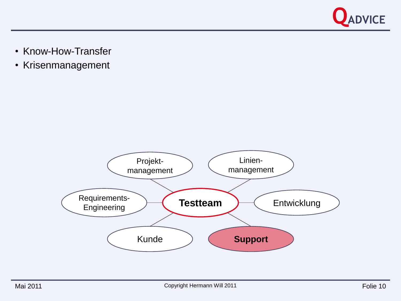

- Know-How-Transfer
- Krisenmanagement

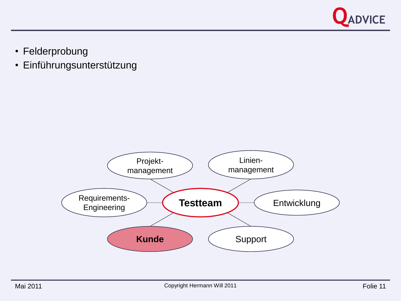

• Felderprobung

## • Einführungsunterstützung

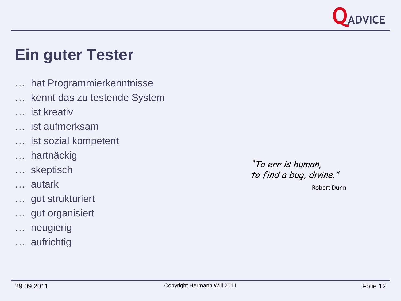

## **Ein guter Tester**

- … hat Programmierkenntnisse
- … kennt das zu testende System
- … ist kreativ
- … ist aufmerksam
- … ist sozial kompetent
- … hartnäckig
- … skeptisch
- … autark
- … gut strukturiert
- … gut organisiert
- … neugierig
- … aufrichtig

"To err is human, to find a bug, divine."

Robert Dunn